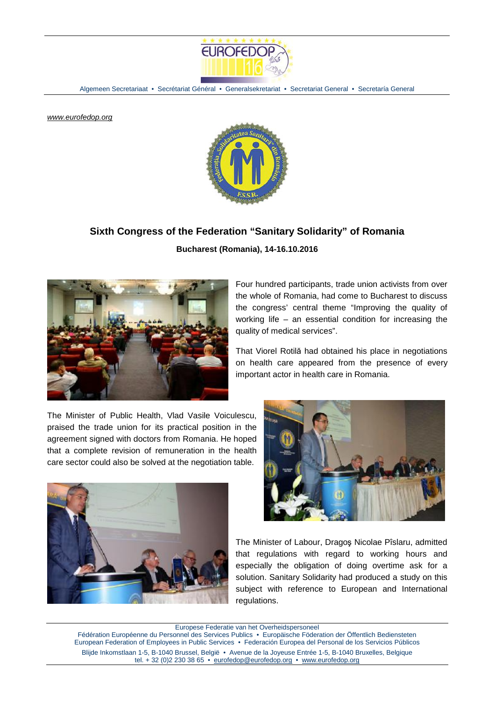

Algemeen Secretariaat • Secrétariat Général • Generalsekretariat • Secretariat General • Secretaría General

*[www.eurofedop.org](http://www.eurofedop.org)*



## **Sixth Congress of the Federation "Sanitary Solidarity" of Romania**

**Bucharest (Romania), 14-16.10.2016** 



Four hundred participants, trade union activists from over the whole of Romania, had come to Bucharest to discuss the congress' central theme "Improving the quality of working life – an essential condition for increasing the quality of medical services".

That Viorel Rotilă had obtained his place in negotiations on health care appeared from the presence of every important actor in health care in Romania.

The Minister of Public Health, Vlad Vasile Voiculescu, praised the trade union for its practical position in the agreement signed with doctors from Romania. He hoped that a complete revision of remuneration in the health care sector could also be solved at the negotiation table.





The Minister of Labour, Dragoş Nicolae Pîslaru, admitted that regulations with regard to working hours and especially the obligation of doing overtime ask for a solution. Sanitary Solidarity had produced a study on this subject with reference to European and International regulations.

Europese Federatie van het Overheidspersoneel Fédération Européenne du Personnel des Services Publics • Europäische Föderation der Öffentlich Bediensteten European Federation of Employees in Public Services • Federación Europea del Personal de los Servicios Públicos Blijde Inkomstlaan 1-5, B-1040 Brussel, België • Avenue de la Joyeuse Entrée 1-5, B-1040 Bruxelles, Belgique tel. + 32 (0)2 230 38 65 · [eurofedop@eurofedop.org](mailto:eurofedop@eurofedop.org) · [www.eurofedop.org](http://www.eurofedop.org)